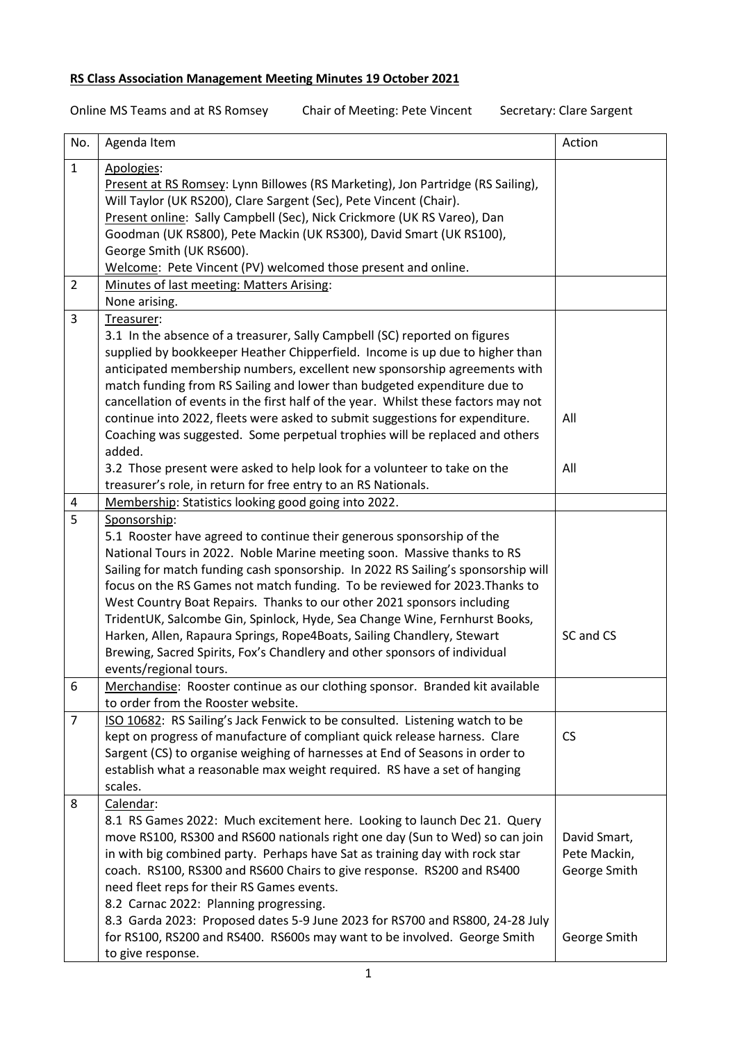## **RS Class Association Management Meeting Minutes 19 October 2021**

Online MS Teams and at RS Romsey Chair of Meeting: Pete Vincent Secretary: Clare Sargent

| No.            | Agenda Item                                                                        | Action       |
|----------------|------------------------------------------------------------------------------------|--------------|
| $\mathbf{1}$   | Apologies:                                                                         |              |
|                | Present at RS Romsey: Lynn Billowes (RS Marketing), Jon Partridge (RS Sailing),    |              |
|                | Will Taylor (UK RS200), Clare Sargent (Sec), Pete Vincent (Chair).                 |              |
|                | Present online: Sally Campbell (Sec), Nick Crickmore (UK RS Vareo), Dan            |              |
|                | Goodman (UK RS800), Pete Mackin (UK RS300), David Smart (UK RS100),                |              |
|                | George Smith (UK RS600).                                                           |              |
|                | Welcome: Pete Vincent (PV) welcomed those present and online.                      |              |
| $\overline{2}$ | Minutes of last meeting: Matters Arising:                                          |              |
|                | None arising.                                                                      |              |
| 3              | Treasurer:                                                                         |              |
|                | 3.1 In the absence of a treasurer, Sally Campbell (SC) reported on figures         |              |
|                | supplied by bookkeeper Heather Chipperfield. Income is up due to higher than       |              |
|                | anticipated membership numbers, excellent new sponsorship agreements with          |              |
|                | match funding from RS Sailing and lower than budgeted expenditure due to           |              |
|                | cancellation of events in the first half of the year. Whilst these factors may not |              |
|                | continue into 2022, fleets were asked to submit suggestions for expenditure.       | All          |
|                | Coaching was suggested. Some perpetual trophies will be replaced and others        |              |
|                | added.                                                                             |              |
|                | 3.2 Those present were asked to help look for a volunteer to take on the           | All          |
|                | treasurer's role, in return for free entry to an RS Nationals.                     |              |
| 4              | Membership: Statistics looking good going into 2022.                               |              |
| 5              | Sponsorship:                                                                       |              |
|                | 5.1 Rooster have agreed to continue their generous sponsorship of the              |              |
|                | National Tours in 2022. Noble Marine meeting soon. Massive thanks to RS            |              |
|                | Sailing for match funding cash sponsorship. In 2022 RS Sailing's sponsorship will  |              |
|                | focus on the RS Games not match funding. To be reviewed for 2023. Thanks to        |              |
|                | West Country Boat Repairs. Thanks to our other 2021 sponsors including             |              |
|                | TridentUK, Salcombe Gin, Spinlock, Hyde, Sea Change Wine, Fernhurst Books,         |              |
|                | Harken, Allen, Rapaura Springs, Rope4Boats, Sailing Chandlery, Stewart             | SC and CS    |
|                | Brewing, Sacred Spirits, Fox's Chandlery and other sponsors of individual          |              |
|                | events/regional tours.                                                             |              |
| 6              | Merchandise: Rooster continue as our clothing sponsor. Branded kit available       |              |
|                | to order from the Rooster website.                                                 |              |
| $\overline{7}$ | ISO 10682: RS Sailing's Jack Fenwick to be consulted. Listening watch to be        |              |
|                | kept on progress of manufacture of compliant quick release harness. Clare          | <b>CS</b>    |
|                | Sargent (CS) to organise weighing of harnesses at End of Seasons in order to       |              |
|                | establish what a reasonable max weight required. RS have a set of hanging          |              |
|                | scales.                                                                            |              |
| 8              | Calendar:                                                                          |              |
|                | 8.1 RS Games 2022: Much excitement here. Looking to launch Dec 21. Query           |              |
|                | move RS100, RS300 and RS600 nationals right one day (Sun to Wed) so can join       | David Smart, |
|                | in with big combined party. Perhaps have Sat as training day with rock star        | Pete Mackin, |
|                | coach. RS100, RS300 and RS600 Chairs to give response. RS200 and RS400             | George Smith |
|                | need fleet reps for their RS Games events.                                         |              |
|                |                                                                                    |              |
|                | 8.2 Carnac 2022: Planning progressing.                                             |              |
|                | 8.3 Garda 2023: Proposed dates 5-9 June 2023 for RS700 and RS800, 24-28 July       |              |
|                | for RS100, RS200 and RS400. RS600s may want to be involved. George Smith           | George Smith |
|                | to give response.                                                                  |              |